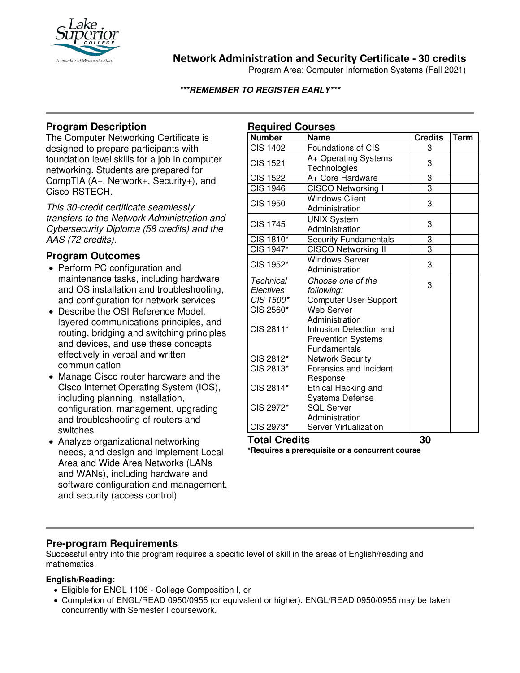

## **Network Administration and Security Certificate - 30 credits**

Program Area: Computer Information Systems (Fall 2021)

#### **\*\*\*REMEMBER TO REGISTER EARLY\*\*\***

## **Program Description**

The Computer Networking Certificate is designed to prepare participants with foundation level skills for a job in computer networking. Students are prepared for CompTIA (A+, Network+, Security+), and Cisco RSTECH.

*This 30-credit certificate seamlessly transfers to the Network Administration and Cybersecurity Diploma (58 credits) and the AAS (72 credits).*

### **Program Outcomes**

- Perform PC configuration and maintenance tasks, including hardware and OS installation and troubleshooting, and configuration for network services
- Describe the OSI Reference Model, layered communications principles, and routing, bridging and switching principles and devices, and use these concepts effectively in verbal and written communication
- Manage Cisco router hardware and the Cisco Internet Operating System (IOS), including planning, installation, configuration, management, upgrading and troubleshooting of routers and switches
- Analyze organizational networking needs, and design and implement Local Area and Wide Area Networks (LANs and WANs), including hardware and software configuration and management, and security (access control)

| <b>Required Courses</b> |                              |                |             |
|-------------------------|------------------------------|----------------|-------------|
| <b>Number</b>           | <b>Name</b>                  | <b>Credits</b> | <b>Term</b> |
| <b>CIS 1402</b>         | Foundations of CIS           | 3              |             |
| <b>CIS 1521</b>         | A+ Operating Systems         | 3              |             |
|                         | Technologies                 |                |             |
| <b>CIS 1522</b>         | A+ Core Hardware             | 3              |             |
| <b>CIS 1946</b>         | <b>CISCO Networking I</b>    | $\overline{3}$ |             |
| <b>CIS 1950</b>         | <b>Windows Client</b>        | 3              |             |
|                         | Administration               |                |             |
| <b>CIS 1745</b>         | <b>UNIX System</b>           | 3              |             |
|                         | Administration               |                |             |
| CIS 1810*               | <b>Security Fundamentals</b> | 3              |             |
| CIS 1947*               | <b>CISCO Networking II</b>   | 3              |             |
| CIS 1952*               | <b>Windows Server</b>        | 3              |             |
|                         | Administration               |                |             |
| <b>Technical</b>        | Choose one of the            | 3              |             |
| Electives               | following:                   |                |             |
| CIS 1500*               | <b>Computer User Support</b> |                |             |
| CIS 2560*               | <b>Web Server</b>            |                |             |
| CIS 2811*               | Administration               |                |             |
|                         | Intrusion Detection and      |                |             |
|                         | <b>Prevention Systems</b>    |                |             |
|                         | Fundamentals                 |                |             |
| CIS 2812*               | <b>Network Security</b>      |                |             |
| CIS 2813*               | Forensics and Incident       |                |             |
|                         | Response                     |                |             |
| CIS 2814*               | <b>Ethical Hacking and</b>   |                |             |
|                         | <b>Systems Defense</b>       |                |             |
| CIS 2972*               | <b>SQL Server</b>            |                |             |
|                         | Administration               |                |             |
| CIS 2973*               | <b>Server Virtualization</b> |                |             |
| <b>Total Credits</b>    |                              | 30             |             |

**\*Requires a prerequisite or a concurrent course**

### **Pre-program Requirements**

Successful entry into this program requires a specific level of skill in the areas of English/reading and mathematics.

#### **English/Reading:**

- Eligible for ENGL 1106 College Composition I, or
- Completion of ENGL/READ 0950/0955 (or equivalent or higher). ENGL/READ 0950/0955 may be taken concurrently with Semester I coursework.